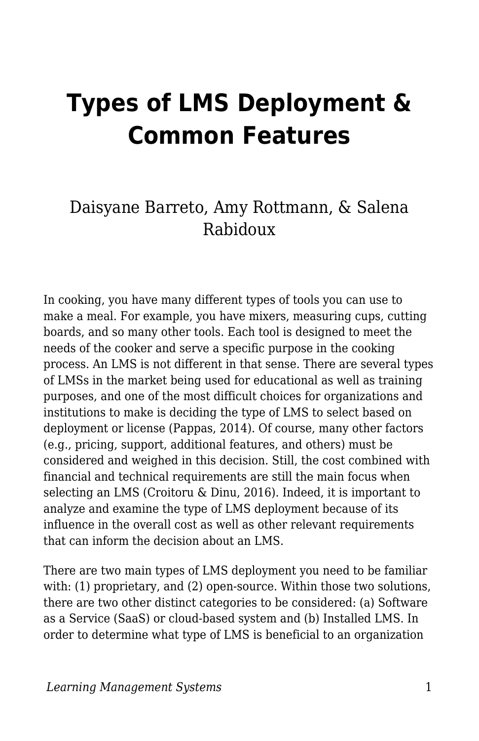# **Types of LMS Deployment & Common Features**

### Daisyane Barreto, Amy Rottmann, & Salena Rabidoux

In cooking, you have many different types of tools you can use to make a meal. For example, you have mixers, measuring cups, cutting boards, and so many other tools. Each tool is designed to meet the needs of the cooker and serve a specific purpose in the cooking process. An LMS is not different in that sense. There are several types of LMSs in the market being used for educational as well as training purposes, and one of the most difficult choices for organizations and institutions to make is deciding the type of LMS to select based on deployment or license (Pappas, 2014). Of course, many other factors (e.g., pricing, support, additional features, and others) must be considered and weighed in this decision. Still, the cost combined with financial and technical requirements are still the main focus when selecting an LMS (Croitoru & Dinu, 2016). Indeed, it is important to analyze and examine the type of LMS deployment because of its influence in the overall cost as well as other relevant requirements that can inform the decision about an LMS.

There are two main types of LMS deployment you need to be familiar with: (1) proprietary, and (2) open-source. Within those two solutions, there are two other distinct categories to be considered: (a) Software as a Service (SaaS) or cloud-based system and (b) Installed LMS. In order to determine what type of LMS is beneficial to an organization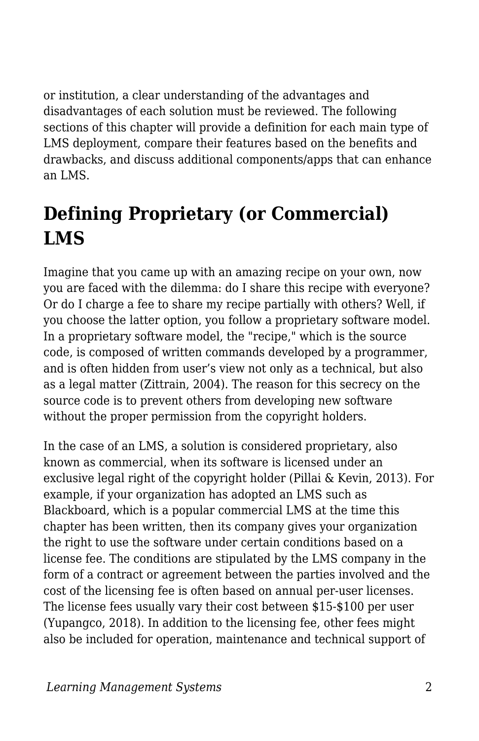or institution, a clear understanding of the advantages and disadvantages of each solution must be reviewed. The following sections of this chapter will provide a definition for each main type of LMS deployment, compare their features based on the benefits and drawbacks, and discuss additional components/apps that can enhance an LMS.

# **Defining Proprietary (or Commercial) LMS**

Imagine that you came up with an amazing recipe on your own, now you are faced with the dilemma: do I share this recipe with everyone? Or do I charge a fee to share my recipe partially with others? Well, if you choose the latter option, you follow a proprietary software model. In a proprietary software model, the "recipe," which is the source code, is composed of written commands developed by a programmer, and is often hidden from user's view not only as a technical, but also as a legal matter (Zittrain, 2004). The reason for this secrecy on the source code is to prevent others from developing new software without the proper permission from the copyright holders.

In the case of an LMS, a solution is considered proprietary, also known as commercial, when its software is licensed under an exclusive legal right of the copyright holder (Pillai & Kevin, 2013). For example, if your organization has adopted an LMS such as Blackboard, which is a popular commercial LMS at the time this chapter has been written, then its company gives your organization the right to use the software under certain conditions based on a license fee. The conditions are stipulated by the LMS company in the form of a contract or agreement between the parties involved and the cost of the licensing fee is often based on annual per-user licenses. The license fees usually vary their cost between \$15-\$100 per user (Yupangco, 2018). In addition to the licensing fee, other fees might also be included for operation, maintenance and technical support of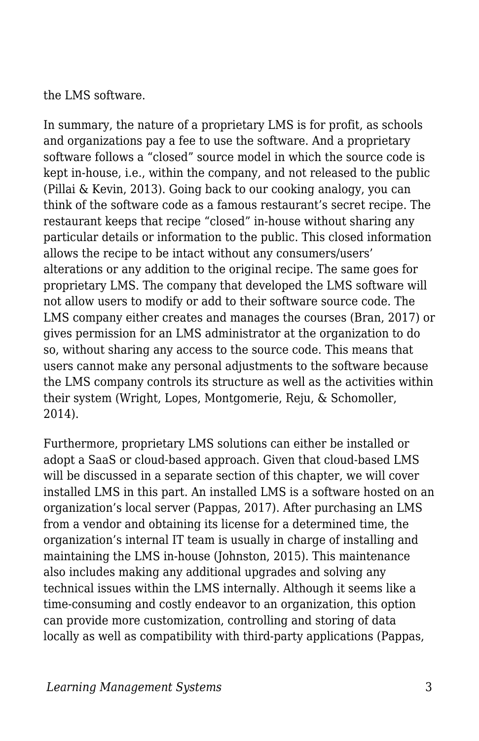the LMS software.

In summary, the nature of a proprietary LMS is for profit, as schools and organizations pay a fee to use the software. And a proprietary software follows a "closed" source model in which the source code is kept in-house, i.e., within the company, and not released to the public (Pillai & Kevin, 2013). Going back to our cooking analogy, you can think of the software code as a famous restaurant's secret recipe. The restaurant keeps that recipe "closed" in-house without sharing any particular details or information to the public. This closed information allows the recipe to be intact without any consumers/users' alterations or any addition to the original recipe. The same goes for proprietary LMS. The company that developed the LMS software will not allow users to modify or add to their software source code. The LMS company either creates and manages the courses (Bran, 2017) or gives permission for an LMS administrator at the organization to do so, without sharing any access to the source code. This means that users cannot make any personal adjustments to the software because the LMS company controls its structure as well as the activities within their system (Wright, Lopes, Montgomerie, Reju, & Schomoller, 2014).

Furthermore, proprietary LMS solutions can either be installed or adopt a SaaS or cloud-based approach. Given that cloud-based LMS will be discussed in a separate section of this chapter, we will cover installed LMS in this part. An installed LMS is a software hosted on an organization's local server (Pappas, 2017). After purchasing an LMS from a vendor and obtaining its license for a determined time, the organization's internal IT team is usually in charge of installing and maintaining the LMS in-house (Johnston, 2015). This maintenance also includes making any additional upgrades and solving any technical issues within the LMS internally. Although it seems like a time-consuming and costly endeavor to an organization, this option can provide more customization, controlling and storing of data locally as well as compatibility with third-party applications (Pappas,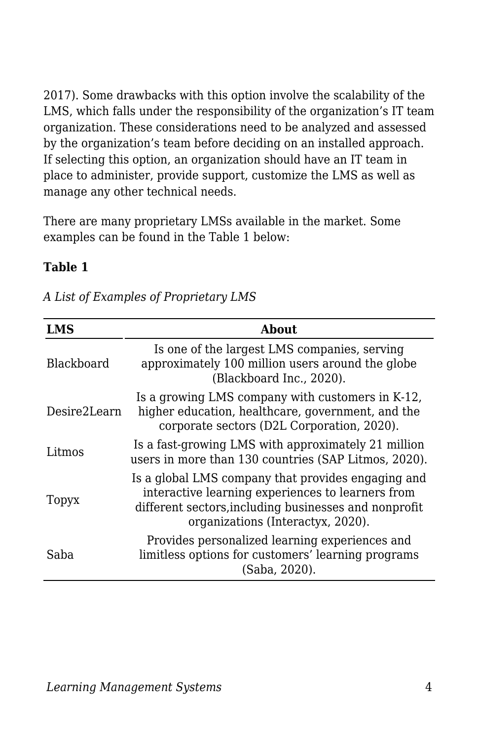2017). Some drawbacks with this option involve the scalability of the LMS, which falls under the responsibility of the organization's IT team organization. These considerations need to be analyzed and assessed by the organization's team before deciding on an installed approach. If selecting this option, an organization should have an IT team in place to administer, provide support, customize the LMS as well as manage any other technical needs.

There are many proprietary LMSs available in the market. Some examples can be found in the Table 1 below:

#### **Table 1**

| <b>LMS</b>   | <b>About</b>                                                                                                                                                                                          |
|--------------|-------------------------------------------------------------------------------------------------------------------------------------------------------------------------------------------------------|
| Blackboard   | Is one of the largest LMS companies, serving<br>approximately 100 million users around the globe<br>(Blackboard Inc., 2020).                                                                          |
| Desire2Learn | Is a growing LMS company with customers in K-12,<br>higher education, healthcare, government, and the<br>corporate sectors (D2L Corporation, 2020).                                                   |
| Litmos       | Is a fast-growing LMS with approximately 21 million<br>users in more than 130 countries (SAP Litmos, 2020).                                                                                           |
| Topyx        | Is a global LMS company that provides engaging and<br>interactive learning experiences to learners from<br>different sectors, including businesses and nonprofit<br>organizations (Interactyx, 2020). |
| Saba         | Provides personalized learning experiences and<br>limitless options for customers' learning programs<br>(Saba, 2020).                                                                                 |

*A List of Examples of Proprietary LMS*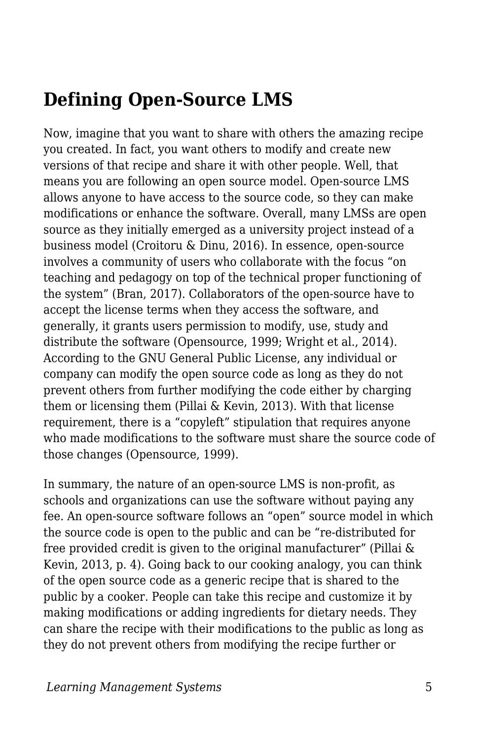## **Defining Open-Source LMS**

Now, imagine that you want to share with others the amazing recipe you created. In fact, you want others to modify and create new versions of that recipe and share it with other people. Well, that means you are following an open source model. Open-source LMS allows anyone to have access to the source code, so they can make modifications or enhance the software. Overall, many LMSs are open source as they initially emerged as a university project instead of a business model (Croitoru & Dinu, 2016). In essence, open-source involves a community of users who collaborate with the focus "on teaching and pedagogy on top of the technical proper functioning of the system" (Bran, 2017). Collaborators of the open-source have to accept the license terms when they access the software, and generally, it grants users permission to modify, use, study and distribute the software (Opensource, 1999; Wright et al., 2014). According to the GNU General Public License, any individual or company can modify the open source code as long as they do not prevent others from further modifying the code either by charging them or licensing them (Pillai & Kevin, 2013). With that license requirement, there is a "copyleft" stipulation that requires anyone who made modifications to the software must share the source code of those changes (Opensource, 1999).

In summary, the nature of an open-source LMS is non-profit, as schools and organizations can use the software without paying any fee. An open-source software follows an "open" source model in which the source code is open to the public and can be "re-distributed for free provided credit is given to the original manufacturer" (Pillai & Kevin, 2013, p. 4). Going back to our cooking analogy, you can think of the open source code as a generic recipe that is shared to the public by a cooker. People can take this recipe and customize it by making modifications or adding ingredients for dietary needs. They can share the recipe with their modifications to the public as long as they do not prevent others from modifying the recipe further or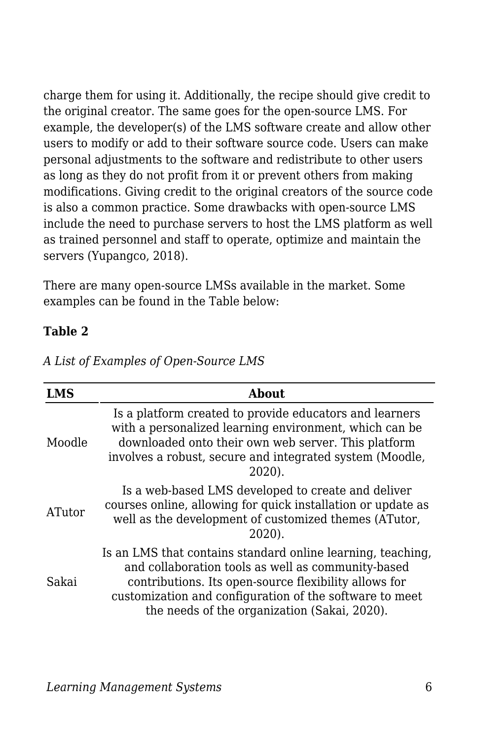charge them for using it. Additionally, the recipe should give credit to the original creator. The same goes for the open-source LMS. For example, the developer(s) of the LMS software create and allow other users to modify or add to their software source code. Users can make personal adjustments to the software and redistribute to other users as long as they do not profit from it or prevent others from making modifications. Giving credit to the original creators of the source code is also a common practice. Some drawbacks with open-source LMS include the need to purchase servers to host the LMS platform as well as trained personnel and staff to operate, optimize and maintain the servers (Yupangco, 2018).

There are many open-source LMSs available in the market. Some examples can be found in the Table below:

#### **Table 2**

| LMS    | <b>About</b>                                                                                                                                                                                                                                                                          |
|--------|---------------------------------------------------------------------------------------------------------------------------------------------------------------------------------------------------------------------------------------------------------------------------------------|
| Moodle | Is a platform created to provide educators and learners<br>with a personalized learning environment, which can be<br>downloaded onto their own web server. This platform<br>involves a robust, secure and integrated system (Moodle,<br>2020).                                        |
| ATutor | Is a web-based LMS developed to create and deliver<br>courses online, allowing for quick installation or update as<br>well as the development of customized themes (ATutor,<br>2020).                                                                                                 |
| Sakai  | Is an LMS that contains standard online learning, teaching,<br>and collaboration tools as well as community-based<br>contributions. Its open-source flexibility allows for<br>customization and configuration of the software to meet<br>the needs of the organization (Sakai, 2020). |

*A List of Examples of Open-Source LMS*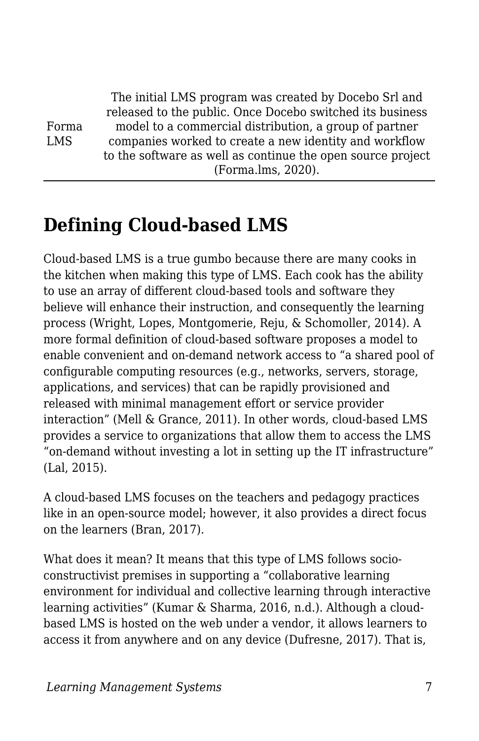Forma LMS The initial LMS program was created by Docebo Srl and released to the public. Once Docebo switched its business model to a commercial distribution, a group of partner companies worked to create a new identity and workflow to the software as well as continue the open source project (Forma.lms, 2020).

### **Defining Cloud-based LMS**

Cloud-based LMS is a true gumbo because there are many cooks in the kitchen when making this type of LMS. Each cook has the ability to use an array of different cloud-based tools and software they believe will enhance their instruction, and consequently the learning process (Wright, Lopes, Montgomerie, Reju, & Schomoller, 2014). A more formal definition of cloud-based software proposes a model to enable convenient and on-demand network access to "a shared pool of configurable computing resources (e.g., networks, servers, storage, applications, and services) that can be rapidly provisioned and released with minimal management effort or service provider interaction" (Mell & Grance, 2011). In other words, cloud-based LMS provides a service to organizations that allow them to access the LMS "on-demand without investing a lot in setting up the IT infrastructure" (Lal, 2015).

A cloud-based LMS focuses on the teachers and pedagogy practices like in an open-source model; however, it also provides a direct focus on the learners (Bran, 2017).

What does it mean? It means that this type of LMS follows socioconstructivist premises in supporting a "collaborative learning environment for individual and collective learning through interactive learning activities" (Kumar & Sharma, 2016, n.d.). Although a cloudbased LMS is hosted on the web under a vendor, it allows learners to access it from anywhere and on any device (Dufresne, 2017). That is,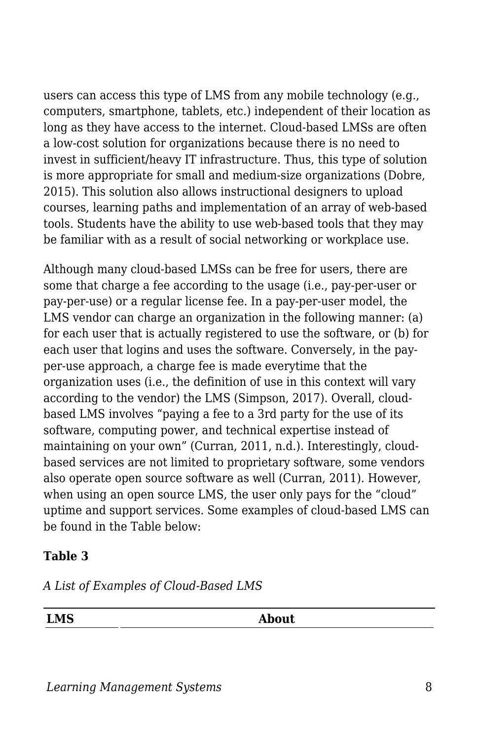users can access this type of LMS from any mobile technology (e.g., computers, smartphone, tablets, etc.) independent of their location as long as they have access to the internet. Cloud-based LMSs are often a low-cost solution for organizations because there is no need to invest in sufficient/heavy IT infrastructure. Thus, this type of solution is more appropriate for small and medium-size organizations (Dobre, 2015). This solution also allows instructional designers to upload courses, learning paths and implementation of an array of web-based tools. Students have the ability to use web-based tools that they may be familiar with as a result of social networking or workplace use.

Although many cloud-based LMSs can be free for users, there are some that charge a fee according to the usage (i.e., pay-per-user or pay-per-use) or a regular license fee. In a pay-per-user model, the LMS vendor can charge an organization in the following manner: (a) for each user that is actually registered to use the software, or (b) for each user that logins and uses the software. Conversely, in the payper-use approach, a charge fee is made everytime that the organization uses (i.e., the definition of use in this context will vary according to the vendor) the LMS (Simpson, 2017). Overall, cloudbased LMS involves "paying a fee to a 3rd party for the use of its software, computing power, and technical expertise instead of maintaining on your own" (Curran, 2011, n.d.). Interestingly, cloudbased services are not limited to proprietary software, some vendors also operate open source software as well (Curran, 2011). However, when using an open source LMS, the user only pays for the "cloud" uptime and support services. Some examples of cloud-based LMS can be found in the Table below:

#### **Table 3**

*A List of Examples of Cloud-Based LMS*

**LMS About**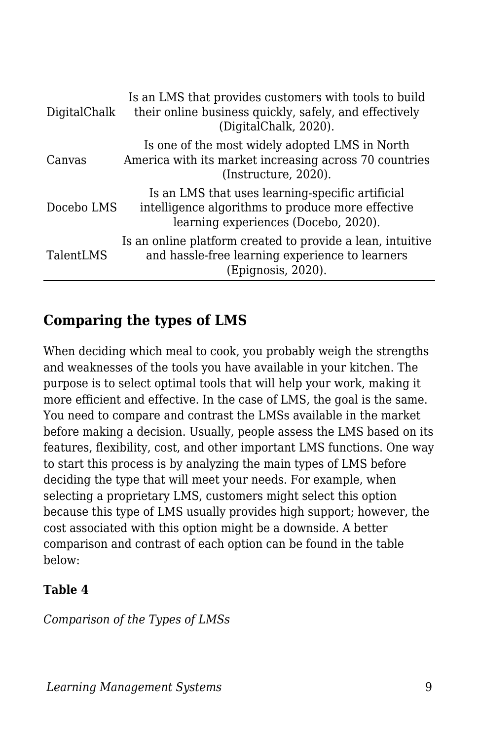| DigitalChalk | Is an LMS that provides customers with tools to build<br>their online business quickly, safely, and effectively<br>(DigitalChalk, 2020).      |
|--------------|-----------------------------------------------------------------------------------------------------------------------------------------------|
| Canvas       | Is one of the most widely adopted LMS in North<br>America with its market increasing across 70 countries<br>(Instructure, 2020).              |
| Docebo LMS   | Is an LMS that uses learning-specific artificial<br>intelligence algorithms to produce more effective<br>learning experiences (Docebo, 2020). |
| TalentLMS    | Is an online platform created to provide a lean, intuitive<br>and hassle-free learning experience to learners<br>(Epignosis, 2020).           |

#### **Comparing the types of LMS**

When deciding which meal to cook, you probably weigh the strengths and weaknesses of the tools you have available in your kitchen. The purpose is to select optimal tools that will help your work, making it more efficient and effective. In the case of LMS, the goal is the same. You need to compare and contrast the LMSs available in the market before making a decision. Usually, people assess the LMS based on its features, flexibility, cost, and other important LMS functions. One way to start this process is by analyzing the main types of LMS before deciding the type that will meet your needs. For example, when selecting a proprietary LMS, customers might select this option because this type of LMS usually provides high support; however, the cost associated with this option might be a downside. A better comparison and contrast of each option can be found in the table below:

#### **Table 4**

*Comparison of the Types of LMSs*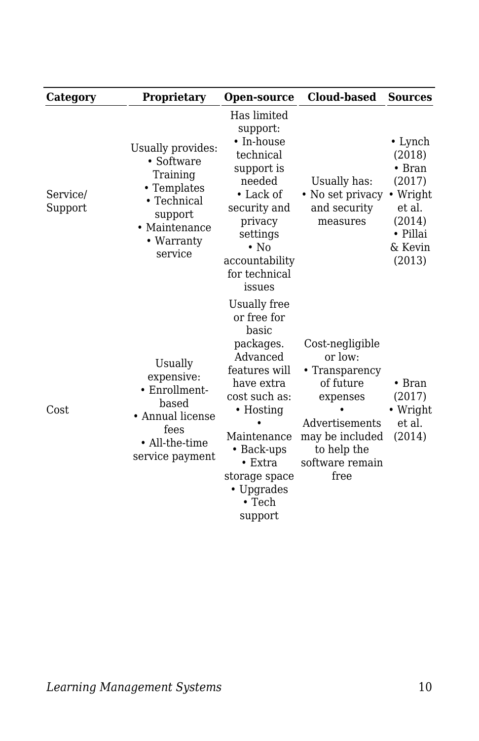| Category            | Proprietary                                                                                                                                          | Open-source                                                                                                                                                                                                                                  | <b>Cloud-based</b>                                                                                                                                   | <b>Sources</b>                                                                                                       |
|---------------------|------------------------------------------------------------------------------------------------------------------------------------------------------|----------------------------------------------------------------------------------------------------------------------------------------------------------------------------------------------------------------------------------------------|------------------------------------------------------------------------------------------------------------------------------------------------------|----------------------------------------------------------------------------------------------------------------------|
| Service/<br>Support | Usually provides:<br>$\cdot$ Software<br>Training<br>• Templates<br>$\bullet$ Technical<br>support<br>$\bullet$ Maintenance<br>• Warranty<br>service | Has limited<br>support:<br>• In-house<br>technical<br>support is<br>needed<br>$\bullet$ Lack of<br>security and<br>privacy<br>settings<br>$\cdot$ No<br>accountability<br>for technical<br>issues                                            | Usually has:<br>• No set privacy<br>and security<br>measures                                                                                         | $\cdot$ Lynch<br>(2018)<br>$\bullet$ Bran<br>(2017)<br>• Wright<br>et al.<br>(2014)<br>• Pillai<br>& Kevin<br>(2013) |
| Cost                | Usually<br>expensive:<br>• Enrollment-<br>based<br>• Annual license<br>fees<br>• All-the-time<br>service payment                                     | Usually free<br>or free for<br>basic<br>packages.<br>Advanced<br>features will<br>have extra<br>cost such as:<br>$\bullet$ Hosting<br>Maintenance<br>• Back-ups<br>$\bullet$ Extra<br>storage space<br>• Upgrades<br>$\cdot$ Tech<br>support | Cost-negligible<br>or low:<br>• Transparency<br>of future<br>expenses<br>Advertisements<br>may be included<br>to help the<br>software remain<br>free | $\bullet$ Bran<br>(2017)<br>• Wright<br>et al.<br>(2014)                                                             |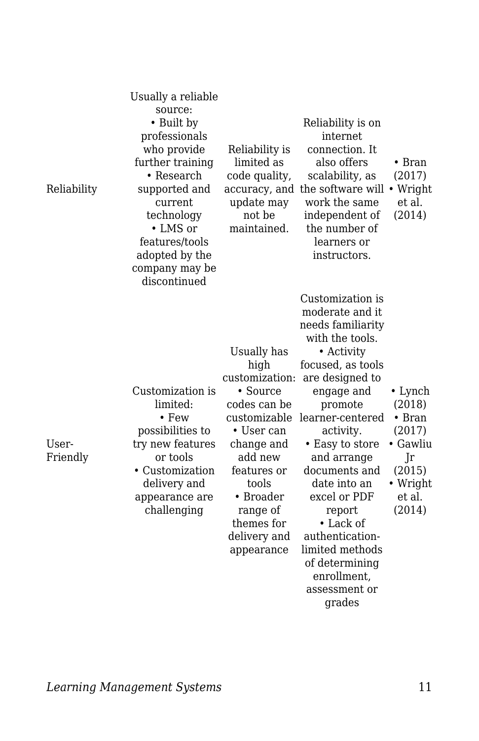| Reliability       | Usually a reliable<br>source:<br>• Built by<br>professionals<br>who provide<br>further training<br>$\bullet$ Research<br>supported and<br>current<br>technology<br>• LMS or<br>features/tools<br>adopted by the<br>company may be<br>discontinued | Reliability is<br>limited as<br>code quality,<br>update may<br>not be<br>maintained.                                                                                                                                  | Reliability is on<br>internet<br>connection. It<br>also offers<br>scalability, as<br>accuracy, and the software will<br>work the same<br>independent of<br>the number of<br>learners or<br>instructors.                                                                                                                                                                                                  | $\bullet$ Bran<br>(2017)<br>• Wright<br>et al.<br>(2014)                                                  |
|-------------------|---------------------------------------------------------------------------------------------------------------------------------------------------------------------------------------------------------------------------------------------------|-----------------------------------------------------------------------------------------------------------------------------------------------------------------------------------------------------------------------|----------------------------------------------------------------------------------------------------------------------------------------------------------------------------------------------------------------------------------------------------------------------------------------------------------------------------------------------------------------------------------------------------------|-----------------------------------------------------------------------------------------------------------|
| User-<br>Friendly | Customization is<br>limited:<br>$\cdot$ Few<br>possibilities to<br>try new features<br>or tools<br>• Customization<br>delivery and<br>appearance are<br>challenging                                                                               | Usually has<br>high<br>customization:<br>• Source<br>codes can be<br>customizable<br>• User can<br>change and<br>add new<br>features or<br>tools<br>• Broader<br>range of<br>themes for<br>delivery and<br>appearance | Customization is<br>moderate and it.<br>needs familiarity<br>with the tools.<br>• Activity<br>focused, as tools<br>are designed to<br>engage and<br>promote<br>learner-centered<br>activity.<br>• Easy to store<br>and arrange<br>documents and<br>date into an<br>excel or PDF<br>report<br>• Lack of<br>authentication-<br>limited methods<br>of determining<br>enrollment.<br>assessment or<br>grades | • Lynch<br>(2018)<br>$\bullet$ Bran<br>(2017)<br>• Gawliu<br>Jr<br>(2015)<br>• Wright<br>et al.<br>(2014) |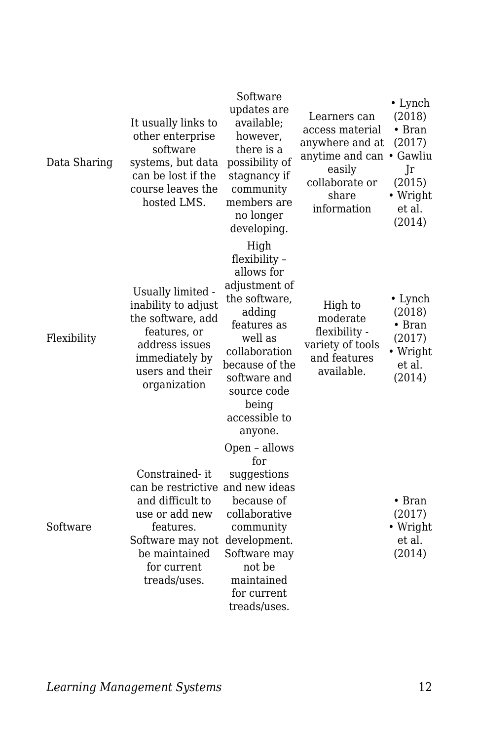| Data Sharing | It usually links to<br>other enterprise<br>software<br>systems, but data<br>can be lost if the<br>course leaves the<br>hosted LMS.                                        | Software<br>updates are<br>available;<br>however,<br>there is a<br>possibility of<br>stagnancy if<br>community<br>members are<br>no longer<br>developing.                                                        | Learners can<br>access material<br>anywhere and at<br>anytime and can • Gawliu<br>easily<br>collaborate or<br>share<br>information | $\cdot$ Lynch<br>(2018)<br>$\bullet$ Bran<br>(2017)<br>Jr<br>(2015)<br>• Wright<br>et al.<br>(2014) |
|--------------|---------------------------------------------------------------------------------------------------------------------------------------------------------------------------|------------------------------------------------------------------------------------------------------------------------------------------------------------------------------------------------------------------|------------------------------------------------------------------------------------------------------------------------------------|-----------------------------------------------------------------------------------------------------|
| Flexibility  | Usually limited -<br>inability to adjust<br>the software, add<br>features, or<br>address issues<br>immediately by<br>users and their<br>organization                      | High<br>flexibility -<br>allows for<br>adjustment of<br>the software,<br>adding<br>features as<br>well as<br>collaboration<br>because of the<br>software and<br>source code<br>being<br>accessible to<br>anyone. | High to<br>moderate<br>flexibility -<br>variety of tools<br>and features<br>available.                                             | • Lynch<br>(2018)<br>$\bullet$ Bran<br>(2017)<br>• Wright<br>et al.<br>(2014)                       |
| Software     | Constrained-it<br>can be restrictive and new ideas<br>and difficult to<br>use or add new<br>features.<br>Software may not<br>be maintained<br>for current<br>treads/uses. | Open - allows<br>for<br>suggestions<br>because of<br>collaborative<br>community<br>development.<br>Software may<br>not be<br>maintained<br>for current<br>treads/uses.                                           |                                                                                                                                    | $\bullet$ Bran<br>(2017)<br>• Wright<br>et al.<br>(2014)                                            |

*Learning Management Systems* 12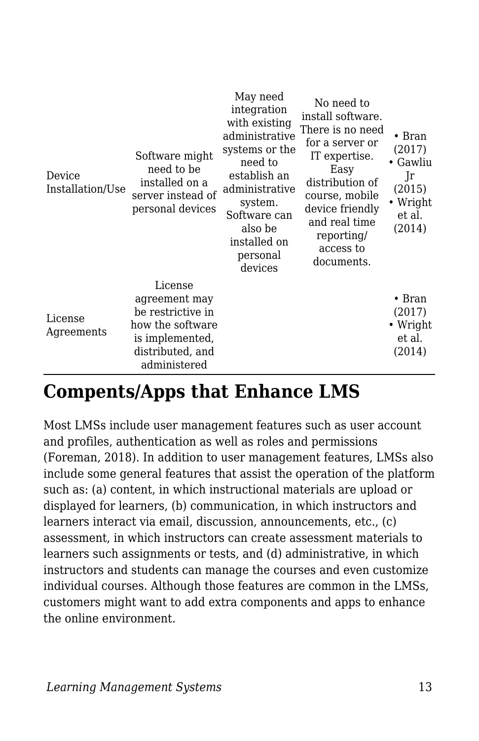| Device<br>Installation/Use | Software might<br>need to be<br>installed on a<br>server instead of<br>personal devices                                  | May need<br>integration<br>with existing<br>administrative<br>systems or the<br>need to<br>establish an<br>administrative<br>system.<br>Software can<br>also be<br>installed on<br>personal<br>devices | No need to<br>install software.<br>There is no need<br>for a server or<br>IT expertise.<br>Easy<br>distribution of<br>course, mobile<br>device friendly<br>and real time<br>reporting/<br>access to<br>documents. | $\bullet$ Bran<br>(2017)<br>Gawliu<br>Jr<br>(2015)<br>Wright<br>et al.<br>(2014) |
|----------------------------|--------------------------------------------------------------------------------------------------------------------------|--------------------------------------------------------------------------------------------------------------------------------------------------------------------------------------------------------|-------------------------------------------------------------------------------------------------------------------------------------------------------------------------------------------------------------------|----------------------------------------------------------------------------------|
| License<br>Agreements      | License<br>agreement may<br>be restrictive in<br>how the software<br>is implemented,<br>distributed, and<br>administered |                                                                                                                                                                                                        |                                                                                                                                                                                                                   | $\bullet$ Bran<br>(2017)<br>• Wright<br>et al.<br>(2014)                         |

### **Compents/Apps that Enhance LMS**

Most LMSs include user management features such as user account and profiles, authentication as well as roles and permissions (Foreman, 2018). In addition to user management features, LMSs also include some general features that assist the operation of the platform such as: (a) content, in which instructional materials are upload or displayed for learners, (b) communication, in which instructors and learners interact via email, discussion, announcements, etc., (c) assessment, in which instructors can create assessment materials to learners such assignments or tests, and (d) administrative, in which instructors and students can manage the courses and even customize individual courses. Although those features are common in the LMSs, customers might want to add extra components and apps to enhance the online environment.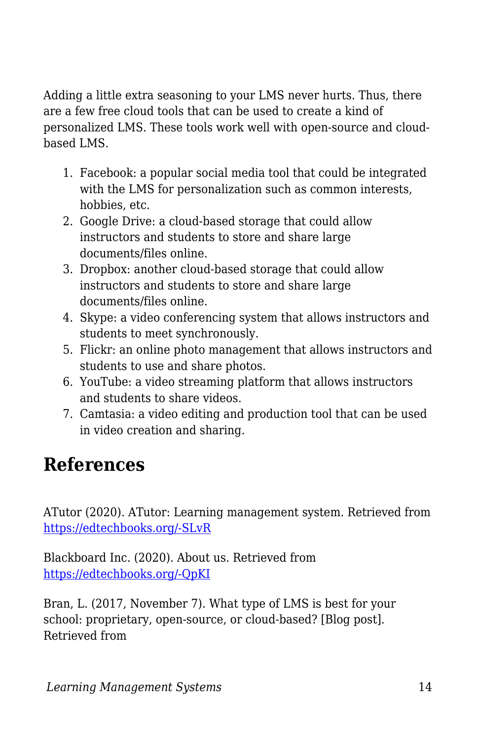Adding a little extra seasoning to your LMS never hurts. Thus, there are a few free cloud tools that can be used to create a kind of personalized LMS. These tools work well with open-source and cloudbased LMS.

- 1. Facebook: a popular social media tool that could be integrated with the LMS for personalization such as common interests, hobbies, etc.
- 2. Google Drive: a cloud-based storage that could allow instructors and students to store and share large documents/files online.
- 3. Dropbox: another cloud-based storage that could allow instructors and students to store and share large documents/files online.
- 4. Skype: a video conferencing system that allows instructors and students to meet synchronously.
- 5. Flickr: an online photo management that allows instructors and students to use and share photos.
- 6. YouTube: a video streaming platform that allows instructors and students to share videos.
- 7. Camtasia: a video editing and production tool that can be used in video creation and sharing.

## **References**

ATutor (2020). ATutor: Learning management system. Retrieved from [https://edtechbooks.org/-SLvR](https://atutor.github.io/atutor/index.html)

Blackboard Inc. (2020). About us. Retrieved from [https://edtechbooks.org/-QpKI](https://www.blackboard.com/about-us)

Bran, L. (2017, November 7). What type of LMS is best for your school: proprietary, open-source, or cloud-based? [Blog post]. Retrieved from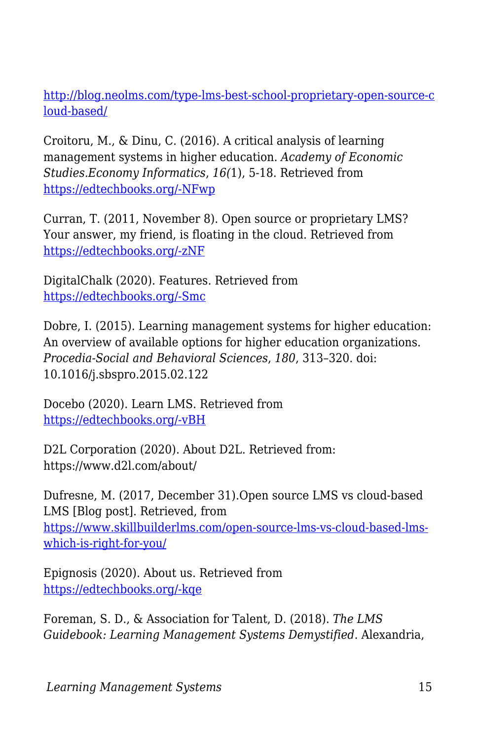[http://blog.neolms.com/type-lms-best-school-proprietary-open-source-c](https://www.google.com/url?q=http://blog.neolms.com/type-lms-best-school-proprietary-open-source-cloud-based/&sa=D&ust=1585945869695000) [loud-based/](https://www.google.com/url?q=http://blog.neolms.com/type-lms-best-school-proprietary-open-source-cloud-based/&sa=D&ust=1585945869695000)

Croitoru, M., & Dinu, C. (2016). A critical analysis of learning management systems in higher education. *Academy of Economic Studies.Economy Informatics*, *16(*1), 5-18. Retrieved from [https://edtechbooks.org/-NFwp](https://search-proquest-com.liblink.uncw.edu/docview/1988422260?accountid=14606)

Curran, T. (2011, November 8). Open source or proprietary LMS? Your answer, my friend, is floating in the cloud. Retrieved from [https://edtechbooks.org/-zNF](https://tedcurran.net/2011/11/open-source-or-proprietary-lms-your-answer-my-friend-is-floating-in-the-cloud/)

DigitalChalk (2020). Features. Retrieved from [https://edtechbooks.org/-Smc](https://www.digitalchalk.com/ecommerce)

Dobre, I. (2015). Learning management systems for higher education: An overview of available options for higher education organizations. *Procedia-Social and Behavioral Sciences*, *180*, 313–320. doi: 10.1016/j.sbspro.2015.02.122

Docebo (2020). Learn LMS. Retrieved from [https://edtechbooks.org/-vBH](https://www.docebo.com/learning-management-system-lms/)

D2L Corporation (2020). About D2L. Retrieved from: https://www.d2l.com/about/

Dufresne, M. (2017, December 31).Open source LMS vs cloud-based LMS [Blog post]. Retrieved, from [https://www.skillbuilderlms.com/open-source-lms-vs-cloud-based-lms](https://www.google.com/url?q=https://www.skillbuilderlms.com/open-source-lms-vs-cloud-based-lms-which-is-right-for-you/&sa=D&ust=1585945869697000)[which-is-right-for-you/](https://www.google.com/url?q=https://www.skillbuilderlms.com/open-source-lms-vs-cloud-based-lms-which-is-right-for-you/&sa=D&ust=1585945869697000)

Epignosis (2020). About us. Retrieved from [https://edtechbooks.org/-kqe](https://www.talentlms.com/about)

Foreman, S. D., & Association for Talent, D. (2018). *The LMS Guidebook: Learning Management Systems Demystified*. Alexandria,

*Learning Management Systems* 15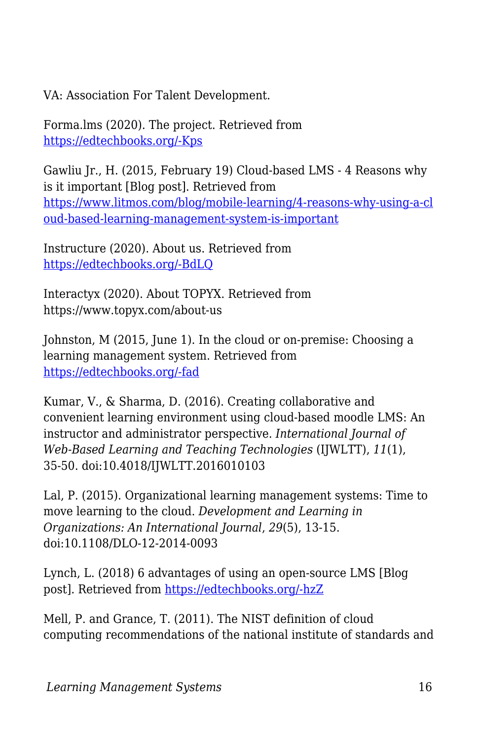VA: Association For Talent Development.

Forma.lms (2020). The project. Retrieved from [https://edtechbooks.org/-Kps](https://www.formalms.org/about.html)

Gawliu Jr., H. (2015, February 19) Cloud-based LMS - 4 Reasons why is it important [Blog post]. Retrieved from [https://www.litmos.com/blog/mobile-learning/4-reasons-why-using-a-cl](https://www.google.com/url?q=https://www.litmos.com/blog/mobile-learning/4-reasons-why-using-a-cloud-based-learning-management-system-is-important&sa=D&ust=1585945869698000) [oud-based-learning-management-system-is-important](https://www.google.com/url?q=https://www.litmos.com/blog/mobile-learning/4-reasons-why-using-a-cloud-based-learning-management-system-is-important&sa=D&ust=1585945869698000)

Instructure (2020). About us. Retrieved from [https://edtechbooks.org/-BdLQ](https://www.instructure.com/about/our-story)

Interactyx (2020). About TOPYX. Retrieved from https://www.topyx.com/about-us

Johnston, M (2015, June 1). In the cloud or on-premise: Choosing a learning management system. Retrieved from [https://edtechbooks.org/-fad](https://www.cmscritic.com/in-the-cloud-or-on-premise-choosing-a-learning-management-system/)

Kumar, V., & Sharma, D. (2016). Creating collaborative and convenient learning environment using cloud-based moodle LMS: An instructor and administrator perspective. *International Journal of Web-Based Learning and Teaching Technologies* (IJWLTT), *11*(1), 35-50. doi:10.4018/IJWLTT.2016010103

Lal, P. (2015). Organizational learning management systems: Time to move learning to the cloud. *Development and Learning in Organizations: An International Journal*, *29*(5), 13-15. doi:10.1108/DLO-12-2014-0093

Lynch, L. (2018) 6 advantages of using an open-source LMS [Blog post]. Retrieved from [https://edtechbooks.org/-hzZ](http://www.elearninglearning.com/learning-management-system/open-source/?open-article-id=8694466&article-title=6-advantages-of-using-an-open-source-lms&blog-domain=learndash.com&blog-title=learndash)

Mell, P. and Grance, T. (2011). The NIST definition of cloud computing recommendations of the national institute of standards and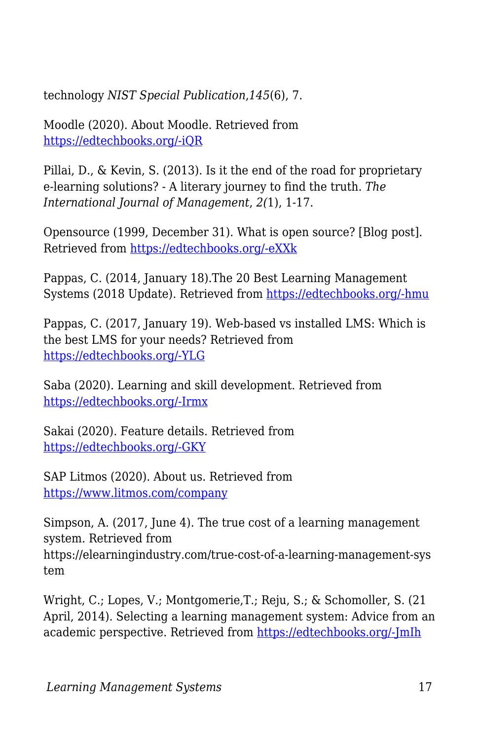technology *NIST Special Publication*,*145*(6), 7.

Moodle (2020). About Moodle. Retrieved from [https://edtechbooks.org/-iQR](https://docs.moodle.org/38/en/About_Moodle)

Pillai, D., & Kevin, S. (2013). Is it the end of the road for proprietary e-learning solutions? - A literary journey to find the truth. *The International Journal of Management*, *2(*1), 1-17.

Opensource (1999, December 31). What is open source? [Blog post]. Retrieved from [https://edtechbooks.org/-eXXk](https://www.google.com/url?q=https://opensource.com/resources/what-open-source&sa=D&ust=1585945869700000)

Pappas, C. (2014, January 18).The 20 Best Learning Management Systems (2018 Update). Retrieved from [https://edtechbooks.org/-hmu](https://www.google.com/url?q=https://elearningindustry.com/the-20-best-learning-management-systems&sa=D&ust=1585945869700000)

Pappas, C. (2017, January 19). Web-based vs installed LMS: Which is the best LMS for your needs? Retrieved from [https://edtechbooks.org/-YLG](https://www.google.com/url?q=https://www.allencomm.com/blog/2017/01/web-based-vs-installed-lms/&sa=D&ust=1585945869701000)

Saba (2020). Learning and skill development. Retrieved from [https://edtechbooks.org/-Irmx](https://www.saba.com/products/learning)

Sakai (2020). Feature details. Retrieved from [https://edtechbooks.org/-GKY](https://www.sakailms.org/feature-details)

SAP Litmos (2020). About us. Retrieved from <https://www.litmos.com/company>

Simpson, A. (2017, June 4). The true cost of a learning management system. Retrieved from https://elearningindustry.com/true-cost-of-a-learning-management-sys tem

Wright, C.; Lopes, V.; Montgomerie,T.; Reju, S.; & Schomoller, S. (21 April, 2014). Selecting a learning management system: Advice from an academic perspective. Retrieved from [https://edtechbooks.org/-JmIh](https://www.google.com/url?q=https://er.educause.edu/articles/2014/4/selecting-a-learning-management-system-advice-from-an-academic-perspective&sa=D&ust=1585945869702000)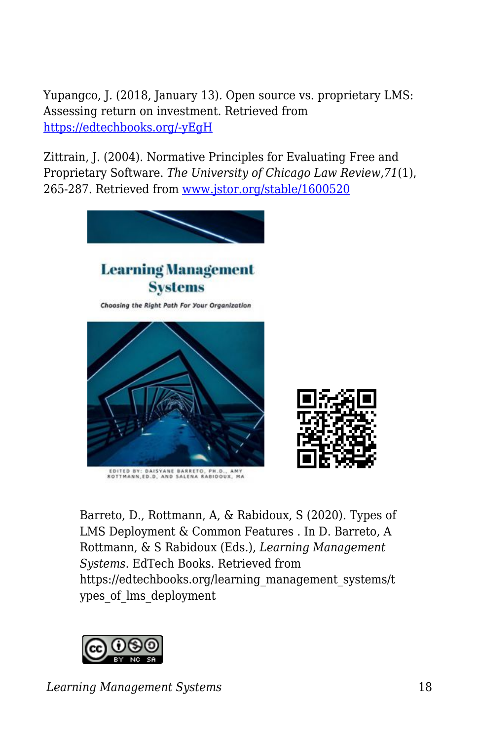Yupangco, J. (2018, January 13). Open source vs. proprietary LMS: Assessing return on investment. Retrieved from [https://edtechbooks.org/-yEgH](https://elearningindustry.com/assessing-return-on-investment-open-source-vs-proprietary-lms)

Zittrain, J. (2004). Normative Principles for Evaluating Free and Proprietary Software. *The University of Chicago Law Review*,*71*(1), 265-287. Retrieved from [www.jstor.org/stable/1600520](http://www.jstor.org/stable/1600520)



EDITED BY: DAISYANE BARRETO, PH.D., AMY<br>ROTTMANN,ED.D, AND SALENA RABIDOUX, MA



Barreto, D., Rottmann, A, & Rabidoux, S (2020). Types of LMS Deployment & Common Features . In D. Barreto, A Rottmann, & S Rabidoux (Eds.), *Learning Management Systems*. EdTech Books. Retrieved from https://edtechbooks.org/learning\_management\_systems/t ypes of lms deployment



*Learning Management Systems* 18